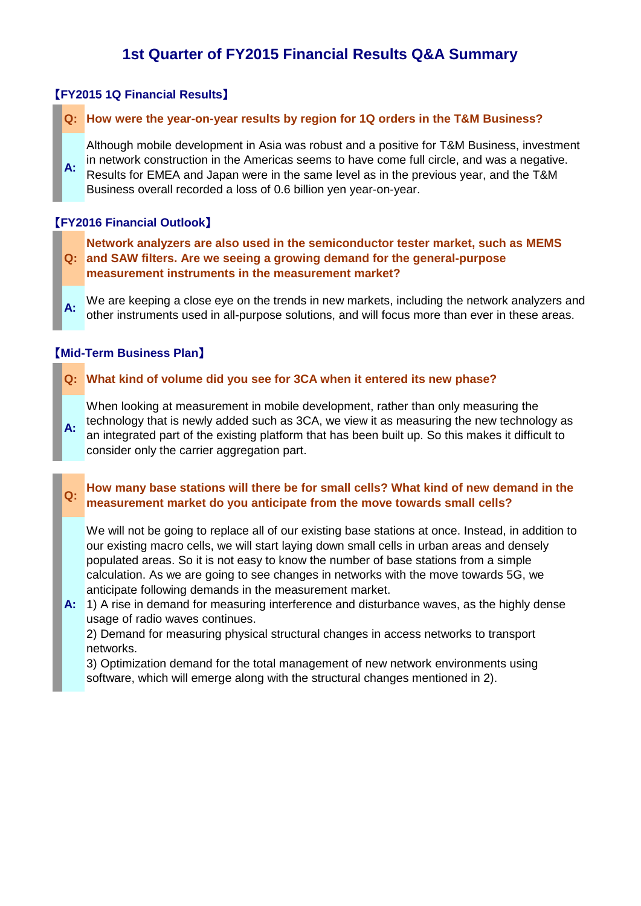# **1st Quarter of FY2015 Financial Results Q&A Summary**

## 【**FY2015 1Q Financial Results**】

#### **Q: How were the year-on-year results by region for 1Q orders in the T&M Business?**

**A:** Although mobile development in Asia was robust and a positive for T&M Business, investment in network construction in the Americas seems to have come full circle, and was a negative. Results for EMEA and Japan were in the same level as in the previous year, and the T&M Business overall recorded a loss of 0.6 billion yen year-on-year.

### 【**FY2016 Financial Outlook**】

#### **Q: and SAW filters. Are we seeing a growing demand for the general-purpose Network analyzers are also used in the semiconductor tester market, such as MEMS measurement instruments in the measurement market?**

**A:** We are keeping a close eye on the trends in new markets, including the network analyzers and other instruments used in all-purpose solutions, and will focus more than ever in these areas.

#### 【**Mid-Term Business Plan**】

### **Q: What kind of volume did you see for 3CA when it entered its new phase?**

**A:** When looking at measurement in mobile development, rather than only measuring the technology that is newly added such as 3CA, we view it as measuring the new technology as an integrated part of the existing platform that has been built up. So this makes it difficult to consider only the carrier aggregation part.

#### **Q: How many base stations will there be for small cells? What kind of new demand in the measurement market do you anticipate from the move towards small cells?**

We will not be going to replace all of our existing base stations at once. Instead, in addition to our existing macro cells, we will start laying down small cells in urban areas and densely populated areas. So it is not easy to know the number of base stations from a simple calculation. As we are going to see changes in networks with the move towards 5G, we anticipate following demands in the measurement market.

**A:** 1) A rise in demand for measuring interference and disturbance waves, as the highly dense usage of radio waves continues.

2) Demand for measuring physical structural changes in access networks to transport networks.

3) Optimization demand for the total management of new network environments using software, which will emerge along with the structural changes mentioned in 2).